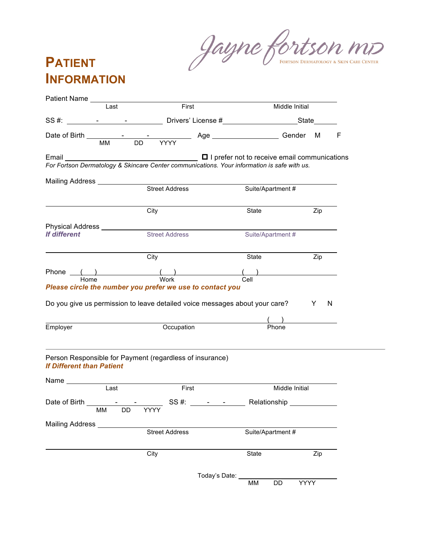Jayne fortson mo

## **PATIENT INFORMATION**

| Last<br>Middle Initial<br>SS#: ________________________________Drivers' License #_________________________State________<br>F<br>For Fortson Dermatology & Skincare Center communications. Your information is safe with us.<br><b>Street Address</b><br>Suite/Apartment #<br>Zip<br>City<br>State<br>Physical Address ____________<br><b>Street Address</b><br>Suite/Apartment #<br>Zip<br>City<br>State<br>Phone () ()<br>Home Work<br>$\frac{(1)}{ 1 }$<br>Please circle the number you prefer we use to contact you<br>Do you give us permission to leave detailed voice messages about your care? Y<br>N<br>Occupation<br>Phone<br>Employer<br>Person Responsible for Payment (regardless of insurance)<br>First<br>Last<br>Middle Initial<br><b>Street Address</b><br>Suite/Apartment #<br>City<br>State<br>Zip<br>Today's Date:<br><b>YYYY</b> |                                  |       |          |  |
|------------------------------------------------------------------------------------------------------------------------------------------------------------------------------------------------------------------------------------------------------------------------------------------------------------------------------------------------------------------------------------------------------------------------------------------------------------------------------------------------------------------------------------------------------------------------------------------------------------------------------------------------------------------------------------------------------------------------------------------------------------------------------------------------------------------------------------------------------|----------------------------------|-------|----------|--|
|                                                                                                                                                                                                                                                                                                                                                                                                                                                                                                                                                                                                                                                                                                                                                                                                                                                      |                                  | First |          |  |
|                                                                                                                                                                                                                                                                                                                                                                                                                                                                                                                                                                                                                                                                                                                                                                                                                                                      |                                  |       |          |  |
|                                                                                                                                                                                                                                                                                                                                                                                                                                                                                                                                                                                                                                                                                                                                                                                                                                                      |                                  |       |          |  |
|                                                                                                                                                                                                                                                                                                                                                                                                                                                                                                                                                                                                                                                                                                                                                                                                                                                      |                                  |       |          |  |
|                                                                                                                                                                                                                                                                                                                                                                                                                                                                                                                                                                                                                                                                                                                                                                                                                                                      |                                  |       |          |  |
|                                                                                                                                                                                                                                                                                                                                                                                                                                                                                                                                                                                                                                                                                                                                                                                                                                                      |                                  |       |          |  |
|                                                                                                                                                                                                                                                                                                                                                                                                                                                                                                                                                                                                                                                                                                                                                                                                                                                      |                                  |       |          |  |
|                                                                                                                                                                                                                                                                                                                                                                                                                                                                                                                                                                                                                                                                                                                                                                                                                                                      |                                  |       |          |  |
|                                                                                                                                                                                                                                                                                                                                                                                                                                                                                                                                                                                                                                                                                                                                                                                                                                                      |                                  |       |          |  |
|                                                                                                                                                                                                                                                                                                                                                                                                                                                                                                                                                                                                                                                                                                                                                                                                                                                      | <b>If different</b>              |       |          |  |
|                                                                                                                                                                                                                                                                                                                                                                                                                                                                                                                                                                                                                                                                                                                                                                                                                                                      |                                  |       |          |  |
|                                                                                                                                                                                                                                                                                                                                                                                                                                                                                                                                                                                                                                                                                                                                                                                                                                                      |                                  |       |          |  |
|                                                                                                                                                                                                                                                                                                                                                                                                                                                                                                                                                                                                                                                                                                                                                                                                                                                      |                                  |       |          |  |
|                                                                                                                                                                                                                                                                                                                                                                                                                                                                                                                                                                                                                                                                                                                                                                                                                                                      |                                  |       |          |  |
|                                                                                                                                                                                                                                                                                                                                                                                                                                                                                                                                                                                                                                                                                                                                                                                                                                                      |                                  |       |          |  |
|                                                                                                                                                                                                                                                                                                                                                                                                                                                                                                                                                                                                                                                                                                                                                                                                                                                      | <b>If Different than Patient</b> |       |          |  |
|                                                                                                                                                                                                                                                                                                                                                                                                                                                                                                                                                                                                                                                                                                                                                                                                                                                      |                                  |       |          |  |
|                                                                                                                                                                                                                                                                                                                                                                                                                                                                                                                                                                                                                                                                                                                                                                                                                                                      |                                  |       |          |  |
|                                                                                                                                                                                                                                                                                                                                                                                                                                                                                                                                                                                                                                                                                                                                                                                                                                                      |                                  |       |          |  |
|                                                                                                                                                                                                                                                                                                                                                                                                                                                                                                                                                                                                                                                                                                                                                                                                                                                      | Mailing Address _________        |       |          |  |
|                                                                                                                                                                                                                                                                                                                                                                                                                                                                                                                                                                                                                                                                                                                                                                                                                                                      |                                  |       |          |  |
|                                                                                                                                                                                                                                                                                                                                                                                                                                                                                                                                                                                                                                                                                                                                                                                                                                                      |                                  |       |          |  |
|                                                                                                                                                                                                                                                                                                                                                                                                                                                                                                                                                                                                                                                                                                                                                                                                                                                      |                                  |       | MM<br>DD |  |